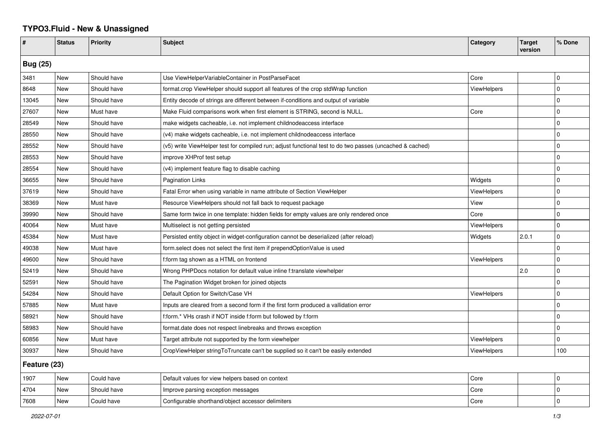## **TYPO3.Fluid - New & Unassigned**

| #               | <b>Status</b> | <b>Priority</b> | <b>Subject</b>                                                                                           | Category           | <b>Target</b><br>version | % Done      |  |  |
|-----------------|---------------|-----------------|----------------------------------------------------------------------------------------------------------|--------------------|--------------------------|-------------|--|--|
| <b>Bug (25)</b> |               |                 |                                                                                                          |                    |                          |             |  |  |
| 3481            | New           | Should have     | Use ViewHelperVariableContainer in PostParseFacet                                                        | Core               |                          | $\mathbf 0$ |  |  |
| 8648            | <b>New</b>    | Should have     | format.crop ViewHelper should support all features of the crop stdWrap function                          | <b>ViewHelpers</b> |                          | $\mathbf 0$ |  |  |
| 13045           | New           | Should have     | Entity decode of strings are different between if-conditions and output of variable                      |                    |                          | $\mathbf 0$ |  |  |
| 27607           | New           | Must have       | Make Fluid comparisons work when first element is STRING, second is NULL.                                | Core               |                          | $\mathbf 0$ |  |  |
| 28549           | <b>New</b>    | Should have     | make widgets cacheable, i.e. not implement childnodeaccess interface                                     |                    |                          | $\Omega$    |  |  |
| 28550           | <b>New</b>    | Should have     | (v4) make widgets cacheable, i.e. not implement childnodeaccess interface                                |                    |                          | $\mathbf 0$ |  |  |
| 28552           | New           | Should have     | (v5) write ViewHelper test for compiled run; adjust functional test to do two passes (uncached & cached) |                    |                          | $\Omega$    |  |  |
| 28553           | New           | Should have     | improve XHProf test setup                                                                                |                    |                          | $\mathbf 0$ |  |  |
| 28554           | New           | Should have     | (v4) implement feature flag to disable caching                                                           |                    |                          | $\mathbf 0$ |  |  |
| 36655           | New           | Should have     | <b>Pagination Links</b>                                                                                  | Widgets            |                          | $\mathbf 0$ |  |  |
| 37619           | New           | Should have     | Fatal Error when using variable in name attribute of Section ViewHelper                                  | <b>ViewHelpers</b> |                          | $\mathbf 0$ |  |  |
| 38369           | <b>New</b>    | Must have       | Resource ViewHelpers should not fall back to request package                                             | View               |                          | $\mathbf 0$ |  |  |
| 39990           | New           | Should have     | Same form twice in one template: hidden fields for empty values are only rendered once                   | Core               |                          | $\Omega$    |  |  |
| 40064           | New           | Must have       | Multiselect is not getting persisted                                                                     | ViewHelpers        |                          | $\mathbf 0$ |  |  |
| 45384           | New           | Must have       | Persisted entity object in widget-configuration cannot be deserialized (after reload)                    | Widgets            | 2.0.1                    | $\mathbf 0$ |  |  |
| 49038           | New           | Must have       | form select does not select the first item if prependOptionValue is used                                 |                    |                          | $\mathbf 0$ |  |  |
| 49600           | New           | Should have     | f:form tag shown as a HTML on frontend                                                                   | <b>ViewHelpers</b> |                          | $\mathbf 0$ |  |  |
| 52419           | <b>New</b>    | Should have     | Wrong PHPDocs notation for default value inline f:translate viewhelper                                   |                    | 2.0                      | $\mathbf 0$ |  |  |
| 52591           | New           | Should have     | The Pagination Widget broken for joined objects                                                          |                    |                          | $\Omega$    |  |  |
| 54284           | New           | Should have     | Default Option for Switch/Case VH                                                                        | <b>ViewHelpers</b> |                          | $\mathbf 0$ |  |  |
| 57885           | New           | Must have       | Inputs are cleared from a second form if the first form produced a vallidation error                     |                    |                          | $\mathbf 0$ |  |  |
| 58921           | New           | Should have     | f:form.* VHs crash if NOT inside f:form but followed by f:form                                           |                    |                          | $\mathbf 0$ |  |  |
| 58983           | <b>New</b>    | Should have     | format.date does not respect linebreaks and throws exception                                             |                    |                          | $\mathbf 0$ |  |  |
| 60856           | <b>New</b>    | Must have       | Target attribute not supported by the form viewhelper                                                    | <b>ViewHelpers</b> |                          | $\Omega$    |  |  |
| 30937           | New           | Should have     | CropViewHelper stringToTruncate can't be supplied so it can't be easily extended                         | ViewHelpers        |                          | 100         |  |  |
| Feature (23)    |               |                 |                                                                                                          |                    |                          |             |  |  |
| 1907            | New           | Could have      | Default values for view helpers based on context                                                         | Core               |                          | $\mathbf 0$ |  |  |
| 4704            | New           | Should have     | Improve parsing exception messages                                                                       | Core               |                          | $\Omega$    |  |  |
| 7608            | New           | Could have      | Configurable shorthand/object accessor delimiters                                                        | Core               |                          | $\Omega$    |  |  |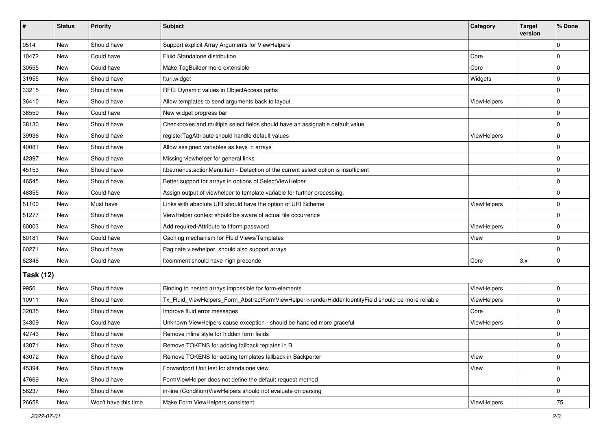| #                | <b>Status</b> | Priority             | Subject                                                                                             | Category           | <b>Target</b><br>version | % Done      |  |  |
|------------------|---------------|----------------------|-----------------------------------------------------------------------------------------------------|--------------------|--------------------------|-------------|--|--|
| 9514             | New           | Should have          | Support explicit Array Arguments for ViewHelpers                                                    |                    |                          | $\Omega$    |  |  |
| 10472            | New           | Could have           | Fluid Standalone distribution                                                                       | Core               |                          | 0           |  |  |
| 30555            | New           | Could have           | Make TagBuilder more extensible                                                                     | Core               |                          | $\Omega$    |  |  |
| 31955            | <b>New</b>    | Should have          | f:uri.widget                                                                                        | Widgets            |                          | 0           |  |  |
| 33215            | New           | Should have          | RFC: Dynamic values in ObjectAccess paths                                                           |                    |                          | $\mathbf 0$ |  |  |
| 36410            | New           | Should have          | Allow templates to send arguments back to layout                                                    | <b>ViewHelpers</b> |                          | $\mathbf 0$ |  |  |
| 36559            | New           | Could have           | New widget progress bar                                                                             |                    |                          | 0           |  |  |
| 38130            | New           | Should have          | Checkboxes and multiple select fields should have an assignable default value                       |                    |                          | $\Omega$    |  |  |
| 39936            | <b>New</b>    | Should have          | registerTagAttribute should handle default values                                                   | ViewHelpers        |                          | $\mathbf 0$ |  |  |
| 40081            | New           | Should have          | Allow assigned variables as keys in arrays                                                          |                    |                          | 0           |  |  |
| 42397            | New           | Should have          | Missing viewhelper for general links                                                                |                    |                          | $\Omega$    |  |  |
| 45153            | <b>New</b>    | Should have          | f:be.menus.actionMenuItem - Detection of the current select option is insufficient                  |                    |                          | $\Omega$    |  |  |
| 46545            | New           | Should have          | Better support for arrays in options of SelectViewHelper                                            |                    |                          | $\Omega$    |  |  |
| 48355            | <b>New</b>    | Could have           | Assign output of viewhelper to template variable for further processing.                            |                    |                          | $\Omega$    |  |  |
| 51100            | New           | Must have            | Links with absolute URI should have the option of URI Scheme                                        | <b>ViewHelpers</b> |                          | 0           |  |  |
| 51277            | New           | Should have          | ViewHelper context should be aware of actual file occurrence                                        |                    |                          | $\Omega$    |  |  |
| 60003            | <b>New</b>    | Should have          | Add required-Attribute to f:form.password                                                           | <b>ViewHelpers</b> |                          | $\mathbf 0$ |  |  |
| 60181            | New           | Could have           | Caching mechanism for Fluid Views/Templates                                                         | View               |                          | $\mathbf 0$ |  |  |
| 60271            | New           | Should have          | Paginate viewhelper, should also support arrays                                                     |                    |                          | $\mathbf 0$ |  |  |
| 62346            | <b>New</b>    | Could have           | f:comment should have high precende                                                                 | Core               | 3.x                      | 0           |  |  |
| <b>Task (12)</b> |               |                      |                                                                                                     |                    |                          |             |  |  |
| 9950             | New           | Should have          | Binding to nested arrays impossible for form-elements                                               | ViewHelpers        |                          | 0           |  |  |
| 10911            | <b>New</b>    | Should have          | Tx_Fluid_ViewHelpers_Form_AbstractFormViewHelper->renderHiddenIdentityField should be more reliable | ViewHelpers        |                          | $\mathbf 0$ |  |  |
| 32035            | New           | Should have          | Improve fluid error messages                                                                        | Core               |                          | $\Omega$    |  |  |
| 34309            | <b>New</b>    | Could have           | Unknown ViewHelpers cause exception - should be handled more graceful                               | ViewHelpers        |                          | $\mathbf 0$ |  |  |
| 42743            | New           | Should have          | Remove inline style for hidden form fields                                                          |                    |                          | 0           |  |  |
| 43071            | New           | Should have          | Remove TOKENS for adding fallback teplates in B                                                     |                    |                          | 0           |  |  |
| 43072            | New           | Should have          | Remove TOKENS for adding templates fallback in Backporter                                           | View               |                          | $\mathbf 0$ |  |  |
| 45394            | New           | Should have          | Forwardport Unit test for standalone view                                                           | View               |                          | 0           |  |  |
| 47669            | <b>New</b>    | Should have          | FormViewHelper does not define the default request method                                           |                    |                          | $\mathbf 0$ |  |  |
| 56237            | New           | Should have          | in-line (Condition) ViewHelpers should not evaluate on parsing                                      |                    |                          | 0           |  |  |
| 26658            | New           | Won't have this time | Make Form ViewHelpers consistent                                                                    | ViewHelpers        |                          | $75\,$      |  |  |